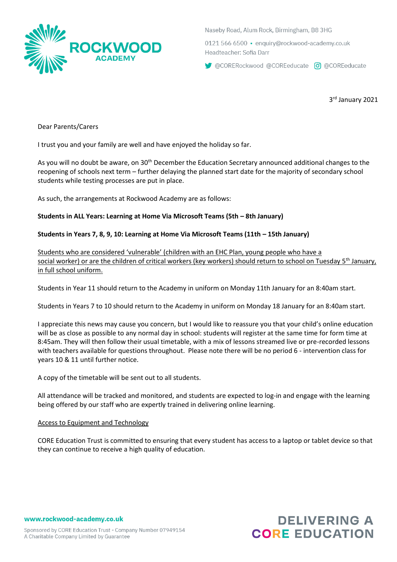

Naseby Road, Alum Rock, Birmingham, B8 3HG

0121 566 6500 · enguiry@rockwood-academy.co.uk Headteacher: Sofia Darr

CORERockwood @COREeducate co @COREeducate

3 rd January 2021

Dear Parents/Carers

I trust you and your family are well and have enjoyed the holiday so far.

As you will no doubt be aware, on 30<sup>th</sup> December the Education Secretary announced additional changes to the reopening of schools next term – further delaying the planned start date for the majority of secondary school students while testing processes are put in place.

As such, the arrangements at Rockwood Academy are as follows:

## **Students in ALL Years: Learning at Home Via Microsoft Teams (5th – 8th January)**

## **Students in Years 7, 8, 9, 10: Learning at Home Via Microsoft Teams (11th – 15th January)**

Students who are considered 'vulnerable' (children with an EHC Plan, young people who have a social worker) or are the children of critical workers (key workers) should return to school on Tuesday 5<sup>th</sup> January, in full school uniform.

Students in Year 11 should return to the Academy in uniform on Monday 11th January for an 8:40am start.

Students in Years 7 to 10 should return to the Academy in uniform on Monday 18 January for an 8:40am start.

I appreciate this news may cause you concern, but I would like to reassure you that your child's online education will be as close as possible to any normal day in school: students will register at the same time for form time at 8:45am. They will then follow their usual timetable, with a mix of lessons streamed live or pre-recorded lessons with teachers available for questions throughout. Please note there will be no period 6 - intervention class for years 10 & 11 until further notice.

A copy of the timetable will be sent out to all students.

All attendance will be tracked and monitored, and students are expected to log-in and engage with the learning being offered by our staff who are expertly trained in delivering online learning.

## Access to Equipment and Technology

CORE Education Trust is committed to ensuring that every student has access to a laptop or tablet device so that they can continue to receive a high quality of education.

www.rockwood-academy.co.uk